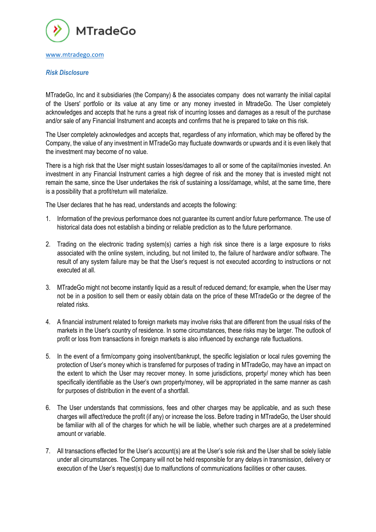

# *Risk Disclosure*

MTradeGo, Inc and it subsidiaries (the Company) & the associates company does not warranty the initial capital of the Users' portfolio or its value at any time or any money invested in MtradeGo. The User completely acknowledges and accepts that he runs a great risk of incurring losses and damages as a result of the purchase and/or sale of any Financial Instrument and accepts and confirms that he is prepared to take on this risk.

The User completely acknowledges and accepts that, regardless of any information, which may be offered by the Company, the value of any investment in MTradeGo may fluctuate downwards or upwards and it is even likely that the investment may become of no value.

There is a high risk that the User might sustain losses/damages to all or some of the capital/monies invested. An investment in any Financial Instrument carries a high degree of risk and the money that is invested might not remain the same, since the User undertakes the risk of sustaining a loss/damage, whilst, at the same time, there is a possibility that a profit/return will materialize.

The User declares that he has read, understands and accepts the following:

- 1. Information of the previous performance does not guarantee its current and/or future performance. The use of historical data does not establish a binding or reliable prediction as to the future performance.
- 2. Trading on the electronic trading system(s) carries a high risk since there is a large exposure to risks associated with the online system, including, but not limited to, the failure of hardware and/or software. The result of any system failure may be that the User's request is not executed according to instructions or not executed at all.
- 3. MTradeGo might not become instantly liquid as a result of reduced demand; for example, when the User may not be in a position to sell them or easily obtain data on the price of these MTradeGo or the degree of the related risks.
- 4. A financial instrument related to foreign markets may involve risks that are different from the usual risks of the markets in the User's country of residence. In some circumstances, these risks may be larger. The outlook of profit or loss from transactions in foreign markets is also influenced by exchange rate fluctuations.
- 5. In the event of a firm/company going insolvent/bankrupt, the specific legislation or local rules governing the protection of User's money which is transferred for purposes of trading in MTradeGo, may have an impact on the extent to which the User may recover money. In some jurisdictions, property/ money which has been specifically identifiable as the User's own property/money, will be appropriated in the same manner as cash for purposes of distribution in the event of a shortfall.
- 6. The User understands that commissions, fees and other charges may be applicable, and as such these charges will affect/reduce the profit (if any) or increase the loss. Before trading in MTradeGo, the User should be familiar with all of the charges for which he will be liable, whether such charges are at a predetermined amount or variable.
- 7. All transactions effected for the User's account(s) are at the User's sole risk and the User shall be solely liable under all circumstances. The Company will not be held responsible for any delays in transmission, delivery or execution of the User's request(s) due to malfunctions of communications facilities or other causes.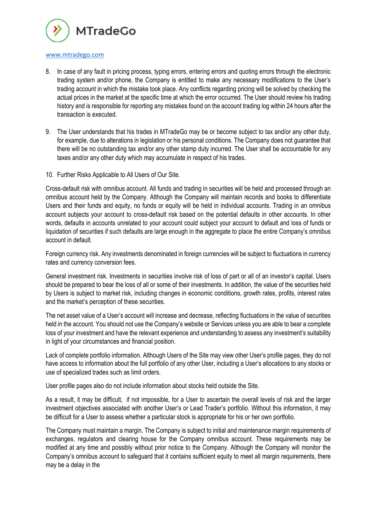

- 8. In case of any fault in pricing process, typing errors, entering errors and quoting errors through the electronic trading system and/or phone, the Company is entitled to make any necessary modifications to the User's trading account in which the mistake took place. Any conflicts regarding pricing will be solved by checking the actual prices in the market at the specific time at which the error occurred. The User should review his trading history and is responsible for reporting any mistakes found on the account trading log within 24 hours after the transaction is executed.
- 9. The User understands that his trades in MTradeGo may be or become subject to tax and/or any other duty, for example, due to alterations in legislation or his personal conditions. The Company does not guarantee that there will be no outstanding tax and/or any other stamp duty incurred. The User shall be accountable for any taxes and/or any other duty which may accumulate in respect of his trades.
- 10. Further Risks Applicable to All Users of Our Site.

Cross-default risk with omnibus account. All funds and trading in securities will be held and processed through an omnibus account held by the Company. Although the Company will maintain records and books to differentiate Users and their funds and equity, no funds or equity will be held in individual accounts. Trading in an omnibus account subjects your account to cross-default risk based on the potential defaults in other accounts. In other words, defaults in accounts unrelated to your account could subject your account to default and loss of funds or liquidation of securities if such defaults are large enough in the aggregate to place the entire Company's omnibus account in default.

Foreign currency risk. Any investments denominated in foreign currencies will be subject to fluctuations in currency rates and currency conversion fees.

General investment risk. Investments in securities involve risk of loss of part or all of an investor's capital. Users should be prepared to bear the loss of all or some of their investments. In addition, the value of the securities held by Users is subject to market risk, including changes in economic conditions, growth rates, profits, interest rates and the market's perception of these securities.

The net asset value of a User's account will increase and decrease, reflecting fluctuations in the value of securities held in the account. You should not use the Company's website or Services unless you are able to bear a complete loss of your investment and have the relevant experience and understanding to assess any investment's suitability in light of your circumstances and financial position.

Lack of complete portfolio information. Although Users of the Site may view other User's profile pages, they do not have access to information about the full portfolio of any other User, including a User's allocations to any stocks or use of specialized trades such as limit orders.

User profile pages also do not include information about stocks held outside the Site.

As a result, it may be difficult, if not impossible, for a User to ascertain the overall levels of risk and the larger investment objectives associated with another User's or Lead Trader's portfolio. Without this information, it may be difficult for a User to assess whether a particular stock is appropriate for his or her own portfolio.

The Company must maintain a margin. The Company is subject to initial and maintenance margin requirements of exchanges, regulators and clearing house for the Company omnibus account. These requirements may be modified at any time and possibly without prior notice to the Company. Although the Company will monitor the Company's omnibus account to safeguard that it contains sufficient equity to meet all margin requirements, there may be a delay in the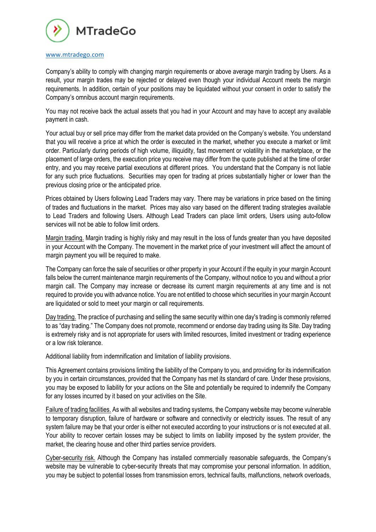

Company's ability to comply with changing margin requirements or above average margin trading by Users. As a result, your margin trades may be rejected or delayed even though your individual Account meets the margin requirements. In addition, certain of your positions may be liquidated without your consent in order to satisfy the Company's omnibus account margin requirements.

You may not receive back the actual assets that you had in your Account and may have to accept any available payment in cash.

Your actual buy or sell price may differ from the market data provided on the Company's website. You understand that you will receive a price at which the order is executed in the market, whether you execute a market or limit order. Particularly during periods of high volume, illiquidity, fast movement or volatility in the marketplace, or the placement of large orders, the execution price you receive may differ from the quote published at the time of order entry, and you may receive partial executions at different prices. You understand that the Company is not liable for any such price fluctuations. Securities may open for trading at prices substantially higher or lower than the previous closing price or the anticipated price.

Prices obtained by Users following Lead Traders may vary. There may be variations in price based on the timing of trades and fluctuations in the market. Prices may also vary based on the different trading strategies available to Lead Traders and following Users. Although Lead Traders can place limit orders, Users using auto-follow services will not be able to follow limit orders.

Margin trading. Margin trading is highly risky and may result in the loss of funds greater than you have deposited in your Account with the Company. The movement in the market price of your investment will affect the amount of margin payment you will be required to make.

The Company can force the sale of securities or other property in your Account if the equity in your margin Account falls below the current maintenance margin requirements of the Company, without notice to you and without a prior margin call. The Company may increase or decrease its current margin requirements at any time and is not required to provide you with advance notice. You are not entitled to choose which securities in your margin Account are liquidated or sold to meet your margin or call requirements.

Day trading. The practice of purchasing and selling the same security within one day's trading is commonly referred to as "day trading." The Company does not promote, recommend or endorse day trading using its Site. Day trading is extremely risky and is not appropriate for users with limited resources, limited investment or trading experience or a low risk tolerance.

Additional liability from indemnification and limitation of liability provisions.

This Agreement contains provisions limiting the liability of the Company to you, and providing for its indemnification by you in certain circumstances, provided that the Company has met its standard of care. Under these provisions, you may be exposed to liability for your actions on the Site and potentially be required to indemnify the Company for any losses incurred by it based on your activities on the Site.

Failure of trading facilities. As with all websites and trading systems, the Company website may become vulnerable to temporary disruption, failure of hardware or software and connectivity or electricity issues. The result of any system failure may be that your order is either not executed according to your instructions or is not executed at all. Your ability to recover certain losses may be subject to limits on liability imposed by the system provider, the market, the clearing house and other third parties service providers.

Cyber-security risk. Although the Company has installed commercially reasonable safeguards, the Company's website may be vulnerable to cyber-security threats that may compromise your personal information. In addition, you may be subject to potential losses from transmission errors, technical faults, malfunctions, network overloads,